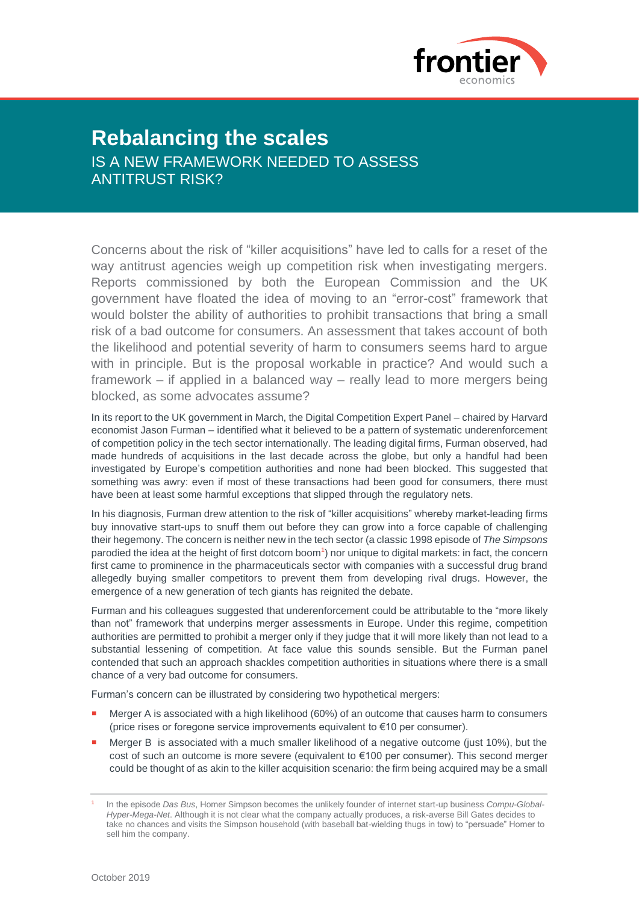

## **Rebalancing the scales**

IS A NEW FRAMEWORK NEEDED TO ASSESS ANTITRUST RISK?

Concerns about the risk of "killer acquisitions" have led to calls for a reset of the way antitrust agencies weigh up competition risk when investigating mergers. Reports commissioned by both the European Commission and the UK government have floated the idea of moving to an "error-cost" framework that would bolster the ability of authorities to prohibit transactions that bring a small risk of a bad outcome for consumers. An assessment that takes account of both the likelihood and potential severity of harm to consumers seems hard to argue with in principle. But is the proposal workable in practice? And would such a framework – if applied in a balanced way – really lead to more mergers being blocked, as some advocates assume?

In its report to the UK government in March, the Digital Competition Expert Panel – chaired by Harvard economist Jason Furman – identified what it believed to be a pattern of systematic underenforcement of competition policy in the tech sector internationally. The leading digital firms, Furman observed, had made hundreds of acquisitions in the last decade across the globe, but only a handful had been investigated by Europe's competition authorities and none had been blocked. This suggested that something was awry: even if most of these transactions had been good for consumers, there must have been at least some harmful exceptions that slipped through the regulatory nets.

In his diagnosis, Furman drew attention to the risk of "killer acquisitions" whereby market-leading firms buy innovative start-ups to snuff them out before they can grow into a force capable of challenging their hegemony. The concern is neither new in the tech sector (a classic 1998 episode of *The Simpsons* parodied the idea at the height of first dotcom boom<sup>1</sup>) nor unique to digital markets: in fact, the concern first came to prominence in the pharmaceuticals sector with companies with a successful drug brand allegedly buying smaller competitors to prevent them from developing rival drugs. However, the emergence of a new generation of tech giants has reignited the debate.

Furman and his colleagues suggested that underenforcement could be attributable to the "more likely than not" framework that underpins merger assessments in Europe. Under this regime, competition authorities are permitted to prohibit a merger only if they judge that it will more likely than not lead to a substantial lessening of competition. At face value this sounds sensible. But the Furman panel contended that such an approach shackles competition authorities in situations where there is a small chance of a very bad outcome for consumers.

Furman's concern can be illustrated by considering two hypothetical mergers:

- Merger A is associated with a high likelihood (60%) of an outcome that causes harm to consumers (price rises or foregone service improvements equivalent to €10 per consumer).
- Merger B is associated with a much smaller likelihood of a negative outcome (just 10%), but the cost of such an outcome is more severe (equivalent to €100 per consumer). This second merger could be thought of as akin to the killer acquisition scenario: the firm being acquired may be a small

<sup>1</sup> In the episode *Das Bus*, Homer Simpson becomes the unlikely founder of internet start-up business *Compu-Global-Hyper-Mega-Net*. Although it is not clear what the company actually produces, a risk-averse Bill Gates decides to take no chances and visits the Simpson household (with baseball bat-wielding thugs in tow) to "persuade" Homer to sell him the company.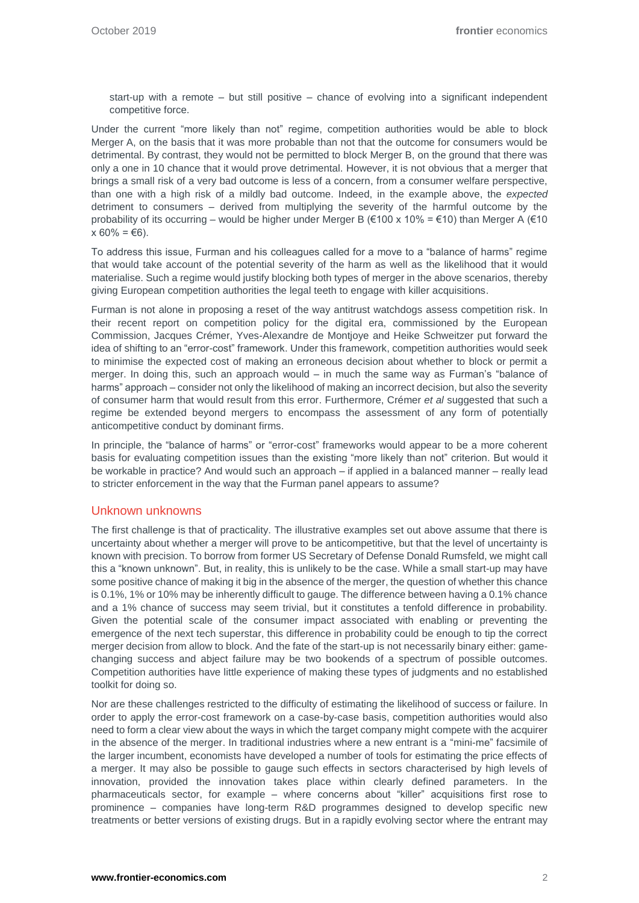start-up with a remote – but still positive – chance of evolving into a significant independent competitive force.

Under the current "more likely than not" regime, competition authorities would be able to block Merger A, on the basis that it was more probable than not that the outcome for consumers would be detrimental. By contrast, they would not be permitted to block Merger B, on the ground that there was only a one in 10 chance that it would prove detrimental. However, it is not obvious that a merger that brings a small risk of a very bad outcome is less of a concern, from a consumer welfare perspective, than one with a high risk of a mildly bad outcome. Indeed, in the example above, the *expected* detriment to consumers – derived from multiplying the severity of the harmful outcome by the probability of its occurring – would be higher under Merger B (€100 x 10% = €10) than Merger A (€10  $x 60\% = \text{\textsterling}6$ ).

To address this issue, Furman and his colleagues called for a move to a "balance of harms" regime that would take account of the potential severity of the harm as well as the likelihood that it would materialise. Such a regime would justify blocking both types of merger in the above scenarios, thereby giving European competition authorities the legal teeth to engage with killer acquisitions.

Furman is not alone in proposing a reset of the way antitrust watchdogs assess competition risk. In their recent report on competition policy for the digital era, commissioned by the European Commission, Jacques Crémer, Yves-Alexandre de Montjoye and Heike Schweitzer put forward the idea of shifting to an "error-cost" framework. Under this framework, competition authorities would seek to minimise the expected cost of making an erroneous decision about whether to block or permit a merger. In doing this, such an approach would – in much the same way as Furman's "balance of harms" approach – consider not only the likelihood of making an incorrect decision, but also the severity of consumer harm that would result from this error. Furthermore, Crémer *et al* suggested that such a regime be extended beyond mergers to encompass the assessment of any form of potentially anticompetitive conduct by dominant firms.

In principle, the "balance of harms" or "error-cost" frameworks would appear to be a more coherent basis for evaluating competition issues than the existing "more likely than not" criterion. But would it be workable in practice? And would such an approach – if applied in a balanced manner – really lead to stricter enforcement in the way that the Furman panel appears to assume?

## Unknown unknowns

The first challenge is that of practicality. The illustrative examples set out above assume that there is uncertainty about whether a merger will prove to be anticompetitive, but that the level of uncertainty is known with precision. To borrow from former US Secretary of Defense Donald Rumsfeld, we might call this a "known unknown". But, in reality, this is unlikely to be the case. While a small start-up may have some positive chance of making it big in the absence of the merger, the question of whether this chance is 0.1%, 1% or 10% may be inherently difficult to gauge. The difference between having a 0.1% chance and a 1% chance of success may seem trivial, but it constitutes a tenfold difference in probability. Given the potential scale of the consumer impact associated with enabling or preventing the emergence of the next tech superstar, this difference in probability could be enough to tip the correct merger decision from allow to block. And the fate of the start-up is not necessarily binary either: gamechanging success and abject failure may be two bookends of a spectrum of possible outcomes. Competition authorities have little experience of making these types of judgments and no established toolkit for doing so.

Nor are these challenges restricted to the difficulty of estimating the likelihood of success or failure. In order to apply the error-cost framework on a case-by-case basis, competition authorities would also need to form a clear view about the ways in which the target company might compete with the acquirer in the absence of the merger. In traditional industries where a new entrant is a "mini-me" facsimile of the larger incumbent, economists have developed a number of tools for estimating the price effects of a merger. It may also be possible to gauge such effects in sectors characterised by high levels of innovation, provided the innovation takes place within clearly defined parameters. In the pharmaceuticals sector, for example – where concerns about "killer" acquisitions first rose to prominence – companies have long-term R&D programmes designed to develop specific new treatments or better versions of existing drugs. But in a rapidly evolving sector where the entrant may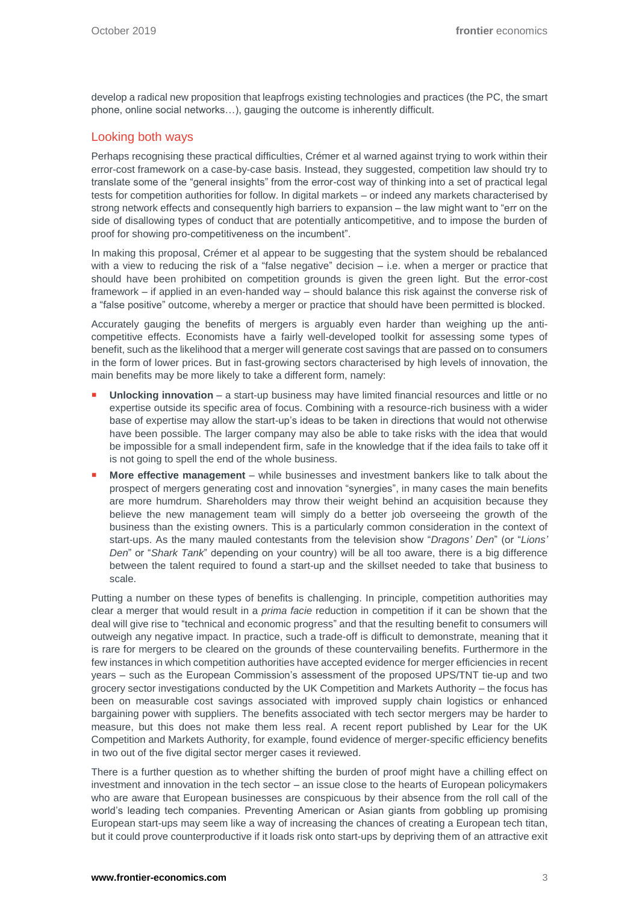develop a radical new proposition that leapfrogs existing technologies and practices (the PC, the smart phone, online social networks…), gauging the outcome is inherently difficult.

## Looking both ways

Perhaps recognising these practical difficulties, Crémer et al warned against trying to work within their error-cost framework on a case-by-case basis. Instead, they suggested, competition law should try to translate some of the "general insights" from the error-cost way of thinking into a set of practical legal tests for competition authorities for follow. In digital markets – or indeed any markets characterised by strong network effects and consequently high barriers to expansion – the law might want to "err on the side of disallowing types of conduct that are potentially anticompetitive, and to impose the burden of proof for showing pro-competitiveness on the incumbent".

In making this proposal, Crémer et al appear to be suggesting that the system should be rebalanced with a view to reducing the risk of a "false negative" decision - i.e. when a merger or practice that should have been prohibited on competition grounds is given the green light. But the error-cost framework – if applied in an even-handed way – should balance this risk against the converse risk of a "false positive" outcome, whereby a merger or practice that should have been permitted is blocked.

Accurately gauging the benefits of mergers is arguably even harder than weighing up the anticompetitive effects. Economists have a fairly well-developed toolkit for assessing some types of benefit, such as the likelihood that a merger will generate cost savings that are passed on to consumers in the form of lower prices. But in fast-growing sectors characterised by high levels of innovation, the main benefits may be more likely to take a different form, namely:

- **Unlocking innovation** a start-up business may have limited financial resources and little or no expertise outside its specific area of focus. Combining with a resource-rich business with a wider base of expertise may allow the start-up's ideas to be taken in directions that would not otherwise have been possible. The larger company may also be able to take risks with the idea that would be impossible for a small independent firm, safe in the knowledge that if the idea fails to take off it is not going to spell the end of the whole business.
- **More effective management** while businesses and investment bankers like to talk about the prospect of mergers generating cost and innovation "synergies", in many cases the main benefits are more humdrum. Shareholders may throw their weight behind an acquisition because they believe the new management team will simply do a better job overseeing the growth of the business than the existing owners. This is a particularly common consideration in the context of start-ups. As the many mauled contestants from the television show "*Dragons' Den*" (or "*Lions' Den*" or "*Shark Tank*" depending on your country) will be all too aware, there is a big difference between the talent required to found a start-up and the skillset needed to take that business to scale.

Putting a number on these types of benefits is challenging. In principle, competition authorities may clear a merger that would result in a *prima facie* reduction in competition if it can be shown that the deal will give rise to "technical and economic progress" and that the resulting benefit to consumers will outweigh any negative impact. In practice, such a trade-off is difficult to demonstrate, meaning that it is rare for mergers to be cleared on the grounds of these countervailing benefits. Furthermore in the few instances in which competition authorities have accepted evidence for merger efficiencies in recent years – such as the European Commission's assessment of the proposed UPS/TNT tie-up and two grocery sector investigations conducted by the UK Competition and Markets Authority – the focus has been on measurable cost savings associated with improved supply chain logistics or enhanced bargaining power with suppliers. The benefits associated with tech sector mergers may be harder to measure, but this does not make them less real. A recent report published by Lear for the UK Competition and Markets Authority, for example, found evidence of merger-specific efficiency benefits in two out of the five digital sector merger cases it reviewed.

There is a further question as to whether shifting the burden of proof might have a chilling effect on investment and innovation in the tech sector – an issue close to the hearts of European policymakers who are aware that European businesses are conspicuous by their absence from the roll call of the world's leading tech companies. Preventing American or Asian giants from gobbling up promising European start-ups may seem like a way of increasing the chances of creating a European tech titan, but it could prove counterproductive if it loads risk onto start-ups by depriving them of an attractive exit